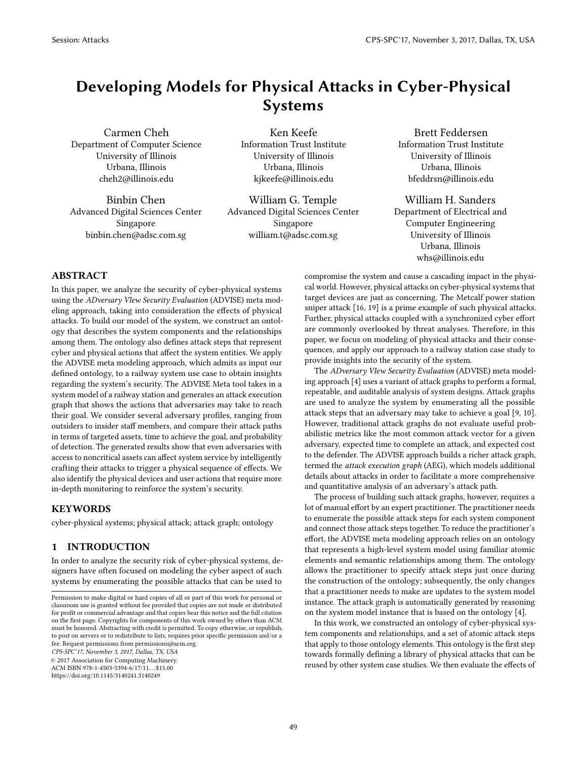# Developing Models for Physical Atacks in Cyber-Physical Systems

Carmen Cheh Department of Computer Science University of Illinois Urbana, Illinois cheh2@illinois.edu

Binbin Chen Advanced Digital Sciences Center Singapore binbin.chen@adsc.com.sg

Ken Keefe Information Trust Institute University of Illinois Urbana, Illinois kjkeefe@illinois.edu

William G. Temple Advanced Digital Sciences Center Singapore william.t@adsc.com.sg

Brett Feddersen Information Trust Institute University of Illinois Urbana, Illinois bfeddrsn@illinois.edu

William H. Sanders Department of Electrical and Computer Engineering University of Illinois Urbana, Illinois whs@illinois.edu

## ABSTRACT

In this paper, we analyze the security of cyber-physical systems using the ADversary VIew Security Evaluation (ADVISE) meta modeling approach, taking into consideration the efects of physical attacks. To build our model of the system, we construct an ontology that describes the system components and the relationships among them. The ontology also defines attack steps that represent cyber and physical actions that afect the system entities. We apply the ADVISE meta modeling approach, which admits as input our defined ontology, to a railway system use case to obtain insights regarding the system's security. The ADVISE Meta tool takes in a system model of a railway station and generates an attack execution graph that shows the actions that adversaries may take to reach their goal. We consider several adversary profiles, ranging from outsiders to insider staff members, and compare their attack paths in terms of targeted assets, time to achieve the goal, and probability of detection. The generated results show that even adversaries with access to noncritical assets can affect system service by intelligently crafting their attacks to trigger a physical sequence of efects. We also identify the physical devices and user actions that require more in-depth monitoring to reinforce the system's security. The session is seen to the set of the set of the set of the set of the set of the set of the set of the set of the set of the set of the set of the set of the set of the set of the set of the set of the set of the set of

## **KEYWORDS**

cyber-physical systems; physical attack; attack graph; ontology

#### 1 INTRODUCTION

In order to analyze the security risk of cyber-physical systems, designers have often focused on modeling the cyber aspect of such systems by enumerating the possible attacks that can be used to

CPS-SPC'17, November 3, 2017, Dallas, TX, USA

© 2017 Association for Computing Machinery.

ACM ISBN 978-1-4503-5394-6/17/11...\$15.00

<https://doi.org/10.1145/3140241.3140249>

compromise the system and cause a cascading impact in the physical world. However, physical attacks on cyber-physical systems that target devices are just as concerning. The Metcalf power station sniper attack [\[16,](#page-6-0) 19] is a prime example of such physical attacks. Further, physical attacks coupled with a synchronized cyber effort are commonly overlooked by threat analyses. Therefore, in this paper, we focus on modeling of physical attacks and their consequences, and apply our approach to a railway station case study to provide insights into the security of the system.

The ADversary VIew Security Evaluation (ADVISE) meta modeling approach [4] uses a variant of attack graphs to perform a formal, repeatable, and auditable analysis of system designs. Attack graphs are used to analyze the system by enumerating all the possible attack steps that an adversary may take to achieve a goal [\[9,](#page-6-3) 10]. However, traditional attack graphs do not evaluate useful probabilistic metrics like the most common attack vector for a given adversary, expected time to complete an attack, and expected cost to the defender. The ADVISE approach builds a richer attack graph, termed the attack execution graph (AEG), which models additional details about attacks in order to facilitate a more comprehensive and quantitative analysis of an adversary's attack path.

The process of building such attack graphs, however, requires a lot of manual effort by an expert practitioner. The practitioner needs to enumerate the possible attack steps for each system component and connect those attack steps together. To reduce the practitioner's efort, the ADVISE meta modeling approach relies on an ontology that represents a high-level system model using familiar atomic elements and semantic relationships among them. The ontology allows the practitioner to specify attack steps just once during the construction of the ontology; subsequently, the only changes that a practitioner needs to make are updates to the system model instance. The attack graph is automatically generated by reasoning on the system model instance that is based on the ontology [4].

In this work, we constructed an ontology of cyber-physical system components and relationships, and a set of atomic attack steps that apply to those ontology elements. This ontology is the first step towards formally defining a library of physical attacks that can be reused by other system case studies. We then evaluate the efects of

Permission to make digital or hard copies of all or part of this work for personal or classroom use is granted without fee provided that copies are not made or distributed for profit or commercial advantage and that copies bear this notice and the full citation on the irst page. Copyrights for components of this work owned by others than ACM must be honored. Abstracting with credit is permitted. To copy otherwise, or republish, to post on servers or to redistribute to lists, requires prior specific permission and/or a fee. Request permissions from permissions@acm.org.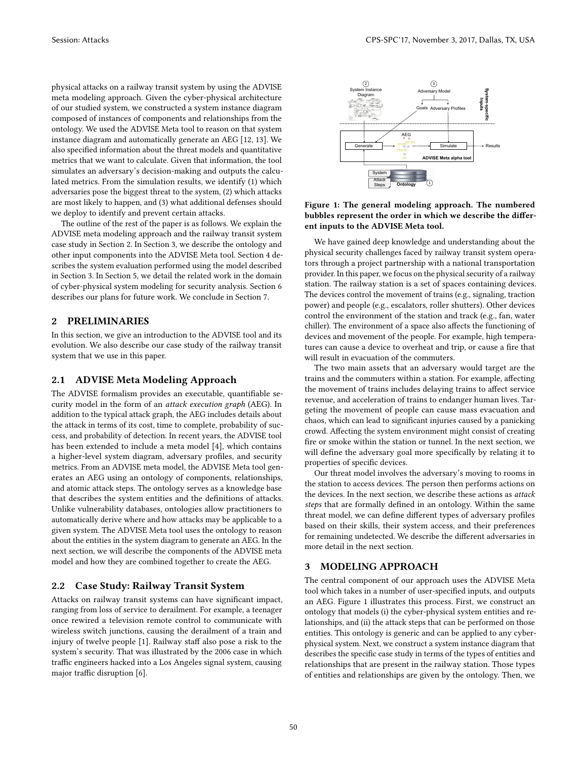physical attacks on a railway transit system by using the ADVISE meta modeling approach. Given the cyber-physical architecture of our studied system, we constructed a system instance diagram composed of instances of components and relationships from the ontology. We used the ADVISE Meta tool to reason on that system instance diagram and automatically generate an AEG [\[12,](#page-6-5) [13\]](#page-6-6). We also specified information about the threat models and quantitative metrics that we want to calculate. Given that information, the tool simulates an adversary's decision-making and outputs the calculated metrics. From the simulation results, we identify (1) which adversaries pose the biggest threat to the system, (2) which attacks are most likely to happen, and (3) what additional defenses should we deploy to identify and prevent certain attacks.

The outline of the rest of the paper is as follows. We explain the ADVISE meta modeling approach and the railway transit system case study in Section [2.](#page-1-0) In Section [3,](#page-1-1) we describe the ontology and other input components into the ADVISE Meta tool. Section [4](#page-3-0) describes the system evaluation performed using the model described in Section [3.](#page-1-1) In Section [5,](#page-4-0) we detail the related work in the domain of cyber-physical system modeling for security analysis. Section [6](#page-5-0) describes our plans for future work. We conclude in Section [7.](#page-5-1)

### <span id="page-1-0"></span>2 PRELIMINARIES

In this section, we give an introduction to the ADVISE tool and its evolution. We also describe our case study of the railway transit system that we use in this paper.

#### 2.1 ADVISE Meta Modeling Approach

The ADVISE formalism provides an executable, quantifiable security model in the form of an attack execution graph (AEG). In addition to the typical attack graph, the AEG includes details about the attack in terms of its cost, time to complete, probability of success, and probability of detection. In recent years, the ADVISE tool has been extended to include a meta model [\[4\]](#page-6-2), which contains a higher-level system diagram, adversary profiles, and security metrics. From an ADVISE meta model, the ADVISE Meta tool generates an AEG using an ontology of components, relationships, and atomic attack steps. The ontology serves as a knowledge base that describes the system entities and the definitions of attacks. Unlike vulnerability databases, ontologies allow practitioners to automatically derive where and how attacks may be applicable to a given system. The ADVISE Meta tool uses the ontology to reason about the entities in the system diagram to generate an AEG. In the next section, we will describe the components of the ADVISE meta model and how they are combined together to create the AEG. CPS-Section: Attacks CPS-SPC (2), November 3, 2017, Dallas, Tacks CPS-SPC (2), November 3, 2017, Dallas, Tacks CPS-SPC (2), Tacks CPS-SPC (2), Tacks CPS-SPC (2), Tacks CPS-SPC (2), Tacks CPS-SPC (2), Tacks CPS-SPC (2), Ta

#### 2.2 Case Study: Railway Transit System

Attacks on railway transit systems can have significant impact, ranging from loss of service to derailment. For example, a teenager once rewired a television remote control to communicate with wireless switch junctions, causing the derailment of a train and injury of twelve people [\[1\]](#page-6-7). Railway staff also pose a risk to the system's security. That was illustrated by the 2006 case in which traffic engineers hacked into a Los Angeles signal system, causing major traffic disruption  $[6]$ .

<span id="page-1-2"></span>

Figure 1: The general modeling approach. The numbered bubbles represent the order in which we describe the diferent inputs to the ADVISE Meta tool.

We have gained deep knowledge and understanding about the physical security challenges faced by railway transit system operators through a project partnership with a national transportation provider. In this paper, we focus on the physical security of a railway station. The railway station is a set of spaces containing devices. The devices control the movement of trains (e.g., signaling, traction power) and people (e.g., escalators, roller shutters). Other devices control the environment of the station and track (e.g., fan, water chiller). The environment of a space also afects the functioning of devices and movement of the people. For example, high temperatures can cause a device to overheat and trip, or cause a fire that will result in evacuation of the commuters.

The two main assets that an adversary would target are the trains and the commuters within a station. For example, afecting the movement of trains includes delaying trains to afect service revenue, and acceleration of trains to endanger human lives. Targeting the movement of people can cause mass evacuation and chaos, which can lead to significant injuries caused by a panicking crowd. Afecting the system environment might consist of creating fire or smoke within the station or tunnel. In the next section, we will define the adversary goal more specifically by relating it to properties of specific devices.

Our threat model involves the adversary's moving to rooms in the station to access devices. The person then performs actions on the devices. In the next section, we describe these actions as attack steps that are formally defined in an ontology. Within the same threat model, we can define different types of adversary profiles based on their skills, their system access, and their preferences for remaining undetected. We describe the diferent adversaries in more detail in the next section.

#### <span id="page-1-1"></span>3 MODELING APPROACH

The central component of our approach uses the ADVISE Meta tool which takes in a number of user-specified inputs, and outputs an AEG. Figure 1 illustrates this process. First, we construct an ontology that models (i) the cyber-physical system entities and relationships, and (ii) the attack steps that can be performed on those entities. This ontology is generic and can be applied to any cyberphysical system. Next, we construct a system instance diagram that describes the specific case study in terms of the types of entities and relationships that are present in the railway station. Those types of entities and relationships are given by the ontology. Then, we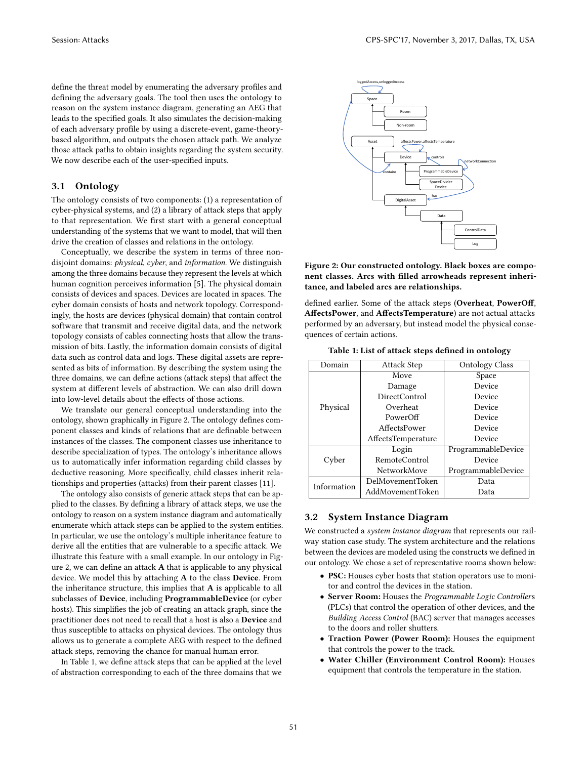define the threat model by enumerating the adversary profiles and defining the adversary goals. The tool then uses the ontology to reason on the system instance diagram, generating an AEG that leads to the specified goals. It also simulates the decision-making of each adversary profile by using a discrete-event, game-theorybased algorithm, and outputs the chosen attack path. We analyze those attack paths to obtain insights regarding the system security. We now describe each of the user-specified inputs.

#### 3.1 Ontology

The ontology consists of two components: (1) a representation of cyber-physical systems, and (2) a library of attack steps that apply to that representation. We first start with a general conceptual understanding of the systems that we want to model, that will then drive the creation of classes and relations in the ontology.

Conceptually, we describe the system in terms of three nondisjoint domains: physical, cyber, and information. We distinguish among the three domains because they represent the levels at which human cognition perceives information [\[5\]](#page-6-9). The physical domain consists of devices and spaces. Devices are located in spaces. The cyber domain consists of hosts and network topology. Correspondingly, the hosts are devices (physical domain) that contain control software that transmit and receive digital data, and the network topology consists of cables connecting hosts that allow the transmission of bits. Lastly, the information domain consists of digital data such as control data and logs. These digital assets are represented as bits of information. By describing the system using the three domains, we can define actions (attack steps) that affect the system at diferent levels of abstraction. We can also drill down into low-level details about the effects of those actions.

We translate our general conceptual understanding into the ontology, shown graphically in Figure [2.](#page-2-0) The ontology defines component classes and kinds of relations that are definable between instances of the classes. The component classes use inheritance to describe specialization of types. The ontology's inheritance allows us to automatically infer information regarding child classes by deductive reasoning. More specifically, child classes inherit relationships and properties (attacks) from their parent classes [\[11\]](#page-6-10).

The ontology also consists of generic attack steps that can be applied to the classes. By defining a library of attack steps, we use the ontology to reason on a system instance diagram and automatically enumerate which attack steps can be applied to the system entities. In particular, we use the ontology's multiple inheritance feature to derive all the entities that are vulnerable to a specific attack. We illustrate this feature with a small example. In our ontology in Fig-ure [2,](#page-2-0) we can define an attack  $A$  that is applicable to any physical device. We model this by attaching A to the class Device. From the inheritance structure, this implies that A is applicable to all subclasses of Device, including ProgrammableDevice (or cyber hosts). This simplifies the job of creating an attack graph, since the practitioner does not need to recall that a host is also a Device and thus susceptible to attacks on physical devices. The ontology thus allows us to generate a complete AEG with respect to the defined attack steps, removing the chance for manual human error. Session: Attacks CPS-SPC'17, November 3, 2017, November 3, 2017, November 3, 2017, November 3, 2017, November 3, 2017, November 3, 2017, November 3, 2017, November 3, 2017, November 3, 2017, November 3, 2017, November 3,

In Table [1,](#page-2-1) we define attack steps that can be applied at the level of abstraction corresponding to each of the three domains that we

<span id="page-2-0"></span>

Figure 2: Our constructed ontology. Black boxes are component classes. Arcs with filled arrowheads represent inheritance, and labeled arcs are relationships.

defined earlier. Some of the attack steps (Overheat, PowerOff, AfectsPower, and AfectsTemperature) are not actual attacks performed by an adversary, but instead model the physical consequences of certain actions.

| Table 1: List of attack steps defined in ontology |  |
|---------------------------------------------------|--|
|---------------------------------------------------|--|

<span id="page-2-1"></span>

| Domain      | <b>Attack Step</b>        | <b>Ontology Class</b> |  |  |  |  |
|-------------|---------------------------|-----------------------|--|--|--|--|
|             | Move                      | Space                 |  |  |  |  |
|             | Damage                    | Device                |  |  |  |  |
|             | DirectControl             | Device                |  |  |  |  |
| Physical    | Overheat                  | Device                |  |  |  |  |
|             | PowerOff                  | Device                |  |  |  |  |
|             | AffectsPower              | Device                |  |  |  |  |
|             | <b>AffectsTemperature</b> | Device                |  |  |  |  |
|             | Login                     | ProgrammableDevice    |  |  |  |  |
| Cyber       | RemoteControl             | Device                |  |  |  |  |
|             | NetworkMove               | ProgrammableDevice    |  |  |  |  |
| Information | DelMovementToken          | Data                  |  |  |  |  |
|             | AddMovementToken          | Data                  |  |  |  |  |

#### 3.2 System Instance Diagram

We constructed a system instance diagram that represents our railway station case study. The system architecture and the relations between the devices are modeled using the constructs we defined in our ontology. We chose a set of representative rooms shown below:

- PSC: Houses cyber hosts that station operators use to monitor and control the devices in the station.
- Server Room: Houses the Programmable Logic Controllers (PLCs) that control the operation of other devices, and the Building Access Control (BAC) server that manages accesses to the doors and roller shutters.
- Traction Power (Power Room): Houses the equipment that controls the power to the track.
- Water Chiller (Environment Control Room): Houses equipment that controls the temperature in the station.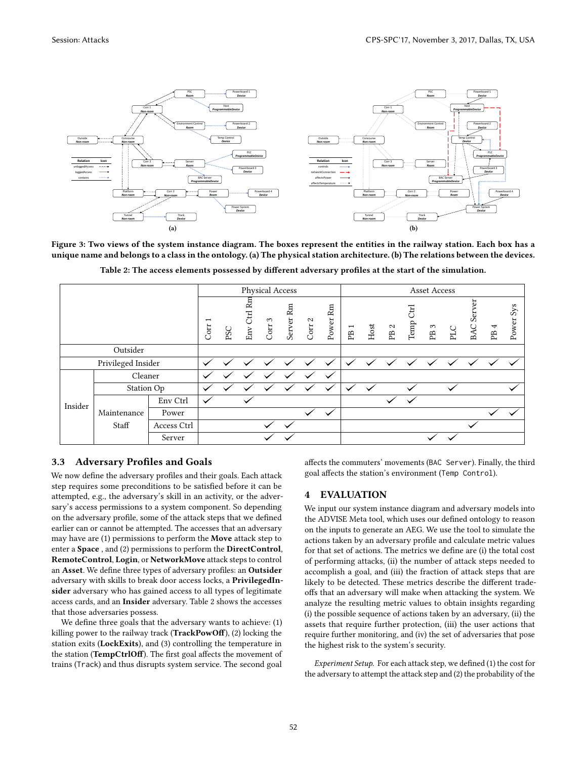<span id="page-3-1"></span>

| PSC<br>Powerboard 1<br>Powerboard 1<br>PSC<br>Device<br>Roon<br>Devio<br>Host<br>Corr 1<br>Corr 1<br>nmableDevice<br>Non-ro<br>Powerboard 2<br>Powerboard 2<br>nvironment Contro<br>Invironment Control<br>lemp Control<br>Outside<br>Outside<br>Concours<br>Devio<br>Non<br>PLC<br>mahleDe<br>mahlef<br>Relation<br>Relation<br>Corr 3<br>Server<br>nloggedAcce<br>Non-ro<br>Powerboard 3<br>Device<br>Device<br><b>BAC</b> Serve<br><b>BAC Ser</b><br>contains<br>affectsPower<br>mableDevic<br>mableDevice<br>affectsTemperature<br>Powerboard<br>Powerboard<br>Corr 2<br>Platform<br>Corr 2<br>Platform<br>Powe<br>Device<br>Device<br>Power System<br>Power System<br>Device<br>Tunnel<br>Track<br>Track<br>Device<br>Devio<br>Non-roa<br>(a)<br>(b)<br>Figure 3: Two views of the system instance diagram. The boxes represent the entities in the railway station. Each box has a<br>unique name and belongs to a class in the ontology. (a) The physical station architecture. (b) The relations between the devices.<br>Table 2: The access elements possessed by different adversary profiles at the start of the simulation.<br><b>Physical Access</b><br>Asset Access<br>Env Ctrl Rm<br>Server<br>Power Sys<br>Server Rm<br>Power Rm<br>Temp Ctrl<br>$\rm Corr\ 2$<br>S<br>Corr<br>Corr <sup>-</sup><br>BAC.<br>PB <sub>2</sub><br>$\mathfrak{S}$<br>Host<br>РLC<br>PSC<br>PB<br><b>PB</b><br><b>PB</b><br>Outsider<br>Privileged Insider<br>Cleaner<br>Station Op<br>Env Ctrl<br>Insider<br>Power<br>Maintenance<br>Staff<br>Access Ctrl<br>Server<br><b>Adversary Profiles and Goals</b><br>3.3<br>goal affects the station's environment (Temp Control).<br>We now define the adversary profiles and their goals. Each attack<br>step requires some preconditions to be satisfied before it can be<br><b>EVALUATION</b><br>4<br>attempted, e.g., the adversary's skill in an activity, or the adver-<br>sary's access permissions to a system component. So depending<br>on the adversary profile, some of the attack steps that we defined<br>earlier can or cannot be attempted. The accesses that an adversary<br>may have are (1) permissions to perform the Move attack step to<br>enter a Space, and (2) permissions to perform the DirectControl,<br>RemoteControl, Login, or NetworkMove attack steps to control<br>an Asset. We define three types of adversary profiles: an Outsider<br>adversary with skills to break door access locks, a PrivilegedIn-<br>sider adversary who has gained access to all types of legitimate<br>access cards, and an Insider adversary. Table 2 shows the accesses<br>that those adversaries possess.<br>We define three goals that the adversary wants to achieve: (1)<br>killing power to the railway track (TrackPowOff), (2) locking the<br>station exits (LockExits), and (3) controlling the temperature in<br>the highest risk to the system's security.<br>the station (TempCtrlOff). The first goal affects the movement of<br>trains (Track) and thus disrupts system service. The second goal | Session: Attacks |  |  |  |  |  |  |  | CPS-SPC'17, November 3, 2017, Dallas, TX, USA |  |
|--------------------------------------------------------------------------------------------------------------------------------------------------------------------------------------------------------------------------------------------------------------------------------------------------------------------------------------------------------------------------------------------------------------------------------------------------------------------------------------------------------------------------------------------------------------------------------------------------------------------------------------------------------------------------------------------------------------------------------------------------------------------------------------------------------------------------------------------------------------------------------------------------------------------------------------------------------------------------------------------------------------------------------------------------------------------------------------------------------------------------------------------------------------------------------------------------------------------------------------------------------------------------------------------------------------------------------------------------------------------------------------------------------------------------------------------------------------------------------------------------------------------------------------------------------------------------------------------------------------------------------------------------------------------------------------------------------------------------------------------------------------------------------------------------------------------------------------------------------------------------------------------------------------------------------------------------------------------------------------------------------------------------------------------------------------------------------------------------------------------------------------------------------------------------------------------------------------------------------------------------------------------------------------------------------------------------------------------------------------------------------------------------------------------------------------------------------------------------------------------------------------------------------------------------------------------------------------------------------------------------------------------------------------------------------------------------------------------------------------------------------------------------------------------------------------------------------------------------------------------------------------------------------------------------------------------------------------------------------------------------------------------------------------------------------------------|------------------|--|--|--|--|--|--|--|-----------------------------------------------|--|
|                                                                                                                                                                                                                                                                                                                                                                                                                                                                                                                                                                                                                                                                                                                                                                                                                                                                                                                                                                                                                                                                                                                                                                                                                                                                                                                                                                                                                                                                                                                                                                                                                                                                                                                                                                                                                                                                                                                                                                                                                                                                                                                                                                                                                                                                                                                                                                                                                                                                                                                                                                                                                                                                                                                                                                                                                                                                                                                                                                                                                                                                    |                  |  |  |  |  |  |  |  |                                               |  |
| affects the commuters' movements (BAC Server). Finally, the third<br>We input our system instance diagram and adversary models into<br>the ADVISE Meta tool, which uses our defined ontology to reason<br>on the inputs to generate an AEG. We use the tool to simulate the<br>actions taken by an adversary profile and calculate metric values<br>for that set of actions. The metrics we define are (i) the total cost<br>of performing attacks, (ii) the number of attack steps needed to<br>accomplish a goal, and (iii) the fraction of attack steps that are<br>likely to be detected. These metrics describe the different trade-<br>offs that an adversary will make when attacking the system. We<br>analyze the resulting metric values to obtain insights regarding<br>(i) the possible sequence of actions taken by an adversary, (ii) the<br>assets that require further protection, (iii) the user actions that<br>require further monitoring, and (iv) the set of adversaries that pose<br>Experiment Setup. For each attack step, we defined (1) the cost for<br>the adversary to attempt the attack step and (2) the probability of the                                                                                                                                                                                                                                                                                                                                                                                                                                                                                                                                                                                                                                                                                                                                                                                                                                                                                                                                                                                                                                                                                                                                                                                                                                                                                                                                                                                                                                                                                                                                                                                                                                                                                                                                                                                                                                                                                                          |                  |  |  |  |  |  |  |  |                                               |  |
|                                                                                                                                                                                                                                                                                                                                                                                                                                                                                                                                                                                                                                                                                                                                                                                                                                                                                                                                                                                                                                                                                                                                                                                                                                                                                                                                                                                                                                                                                                                                                                                                                                                                                                                                                                                                                                                                                                                                                                                                                                                                                                                                                                                                                                                                                                                                                                                                                                                                                                                                                                                                                                                                                                                                                                                                                                                                                                                                                                                                                                                                    |                  |  |  |  |  |  |  |  |                                               |  |
|                                                                                                                                                                                                                                                                                                                                                                                                                                                                                                                                                                                                                                                                                                                                                                                                                                                                                                                                                                                                                                                                                                                                                                                                                                                                                                                                                                                                                                                                                                                                                                                                                                                                                                                                                                                                                                                                                                                                                                                                                                                                                                                                                                                                                                                                                                                                                                                                                                                                                                                                                                                                                                                                                                                                                                                                                                                                                                                                                                                                                                                                    |                  |  |  |  |  |  |  |  |                                               |  |
|                                                                                                                                                                                                                                                                                                                                                                                                                                                                                                                                                                                                                                                                                                                                                                                                                                                                                                                                                                                                                                                                                                                                                                                                                                                                                                                                                                                                                                                                                                                                                                                                                                                                                                                                                                                                                                                                                                                                                                                                                                                                                                                                                                                                                                                                                                                                                                                                                                                                                                                                                                                                                                                                                                                                                                                                                                                                                                                                                                                                                                                                    |                  |  |  |  |  |  |  |  |                                               |  |
|                                                                                                                                                                                                                                                                                                                                                                                                                                                                                                                                                                                                                                                                                                                                                                                                                                                                                                                                                                                                                                                                                                                                                                                                                                                                                                                                                                                                                                                                                                                                                                                                                                                                                                                                                                                                                                                                                                                                                                                                                                                                                                                                                                                                                                                                                                                                                                                                                                                                                                                                                                                                                                                                                                                                                                                                                                                                                                                                                                                                                                                                    |                  |  |  |  |  |  |  |  |                                               |  |
|                                                                                                                                                                                                                                                                                                                                                                                                                                                                                                                                                                                                                                                                                                                                                                                                                                                                                                                                                                                                                                                                                                                                                                                                                                                                                                                                                                                                                                                                                                                                                                                                                                                                                                                                                                                                                                                                                                                                                                                                                                                                                                                                                                                                                                                                                                                                                                                                                                                                                                                                                                                                                                                                                                                                                                                                                                                                                                                                                                                                                                                                    |                  |  |  |  |  |  |  |  |                                               |  |
|                                                                                                                                                                                                                                                                                                                                                                                                                                                                                                                                                                                                                                                                                                                                                                                                                                                                                                                                                                                                                                                                                                                                                                                                                                                                                                                                                                                                                                                                                                                                                                                                                                                                                                                                                                                                                                                                                                                                                                                                                                                                                                                                                                                                                                                                                                                                                                                                                                                                                                                                                                                                                                                                                                                                                                                                                                                                                                                                                                                                                                                                    |                  |  |  |  |  |  |  |  |                                               |  |
|                                                                                                                                                                                                                                                                                                                                                                                                                                                                                                                                                                                                                                                                                                                                                                                                                                                                                                                                                                                                                                                                                                                                                                                                                                                                                                                                                                                                                                                                                                                                                                                                                                                                                                                                                                                                                                                                                                                                                                                                                                                                                                                                                                                                                                                                                                                                                                                                                                                                                                                                                                                                                                                                                                                                                                                                                                                                                                                                                                                                                                                                    |                  |  |  |  |  |  |  |  |                                               |  |
|                                                                                                                                                                                                                                                                                                                                                                                                                                                                                                                                                                                                                                                                                                                                                                                                                                                                                                                                                                                                                                                                                                                                                                                                                                                                                                                                                                                                                                                                                                                                                                                                                                                                                                                                                                                                                                                                                                                                                                                                                                                                                                                                                                                                                                                                                                                                                                                                                                                                                                                                                                                                                                                                                                                                                                                                                                                                                                                                                                                                                                                                    |                  |  |  |  |  |  |  |  |                                               |  |
|                                                                                                                                                                                                                                                                                                                                                                                                                                                                                                                                                                                                                                                                                                                                                                                                                                                                                                                                                                                                                                                                                                                                                                                                                                                                                                                                                                                                                                                                                                                                                                                                                                                                                                                                                                                                                                                                                                                                                                                                                                                                                                                                                                                                                                                                                                                                                                                                                                                                                                                                                                                                                                                                                                                                                                                                                                                                                                                                                                                                                                                                    |                  |  |  |  |  |  |  |  |                                               |  |
|                                                                                                                                                                                                                                                                                                                                                                                                                                                                                                                                                                                                                                                                                                                                                                                                                                                                                                                                                                                                                                                                                                                                                                                                                                                                                                                                                                                                                                                                                                                                                                                                                                                                                                                                                                                                                                                                                                                                                                                                                                                                                                                                                                                                                                                                                                                                                                                                                                                                                                                                                                                                                                                                                                                                                                                                                                                                                                                                                                                                                                                                    |                  |  |  |  |  |  |  |  |                                               |  |
|                                                                                                                                                                                                                                                                                                                                                                                                                                                                                                                                                                                                                                                                                                                                                                                                                                                                                                                                                                                                                                                                                                                                                                                                                                                                                                                                                                                                                                                                                                                                                                                                                                                                                                                                                                                                                                                                                                                                                                                                                                                                                                                                                                                                                                                                                                                                                                                                                                                                                                                                                                                                                                                                                                                                                                                                                                                                                                                                                                                                                                                                    |                  |  |  |  |  |  |  |  |                                               |  |

<span id="page-3-3"></span><span id="page-3-2"></span>Table 2: The access elements possessed by different adversary profiles at the start of the simulation.

## 3.3 Adversary Profiles and Goals

## <span id="page-3-0"></span>4 EVALUATION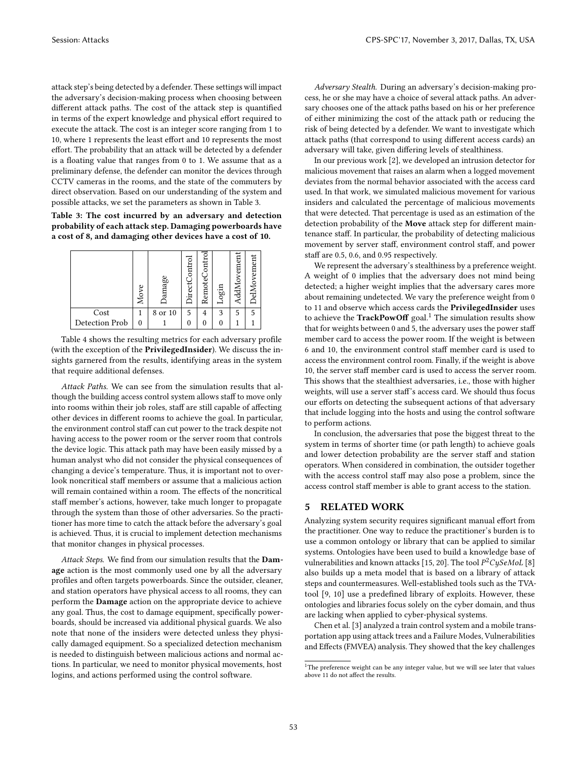attack step's being detected by a defender. These settings will impact the adversary's decision-making process when choosing between different attack paths. The cost of the attack step is quantified in terms of the expert knowledge and physical effort required to execute the attack. The cost is an integer score ranging from 1 to 10, where 1 represents the least effort and 10 represents the most efort. The probability that an attack will be detected by a defender is a floating value that ranges from 0 to 1. We assume that as a preliminary defense, the defender can monitor the devices through CCTV cameras in the rooms, and the state of the commuters by direct observation. Based on our understanding of the system and possible attacks, we set the parameters as shown in Table [3.](#page-4-1)

<span id="page-4-1"></span>Table 3: The cost incurred by an adversary and detection probability of each attack step. Damaging powerboards have a cost of 8, and damaging other devices have a cost of 10.

|                | Move | age<br>సె |   | ö<br>ō | aigc | E<br>vem<br>AddMo | ement<br>elMov |
|----------------|------|-----------|---|--------|------|-------------------|----------------|
| Cost           |      | 8 or 10   | 5 |        | 3    | 5                 |                |
| Detection Prob |      |           |   |        |      |                   |                |

Table [4](#page-5-2) shows the resulting metrics for each adversary profile (with the exception of the PrivilegedInsider). We discuss the insights garnered from the results, identifying areas in the system that require additional defenses.

Attack Paths. We can see from the simulation results that although the building access control system allows staff to move only into rooms within their job roles, staff are still capable of affecting other devices in diferent rooms to achieve the goal. In particular, the environment control staff can cut power to the track despite not having access to the power room or the server room that controls the device logic. This attack path may have been easily missed by a human analyst who did not consider the physical consequences of changing a device's temperature. Thus, it is important not to overlook noncritical staff members or assume that a malicious action will remain contained within a room. The efects of the noncritical staff member's actions, however, take much longer to propagate through the system than those of other adversaries. So the practitioner has more time to catch the attack before the adversary's goal is achieved. Thus, it is crucial to implement detection mechanisms that monitor changes in physical processes. Session: Attacks CPS-SPC-17, November 2, 2017, November 2, 2017, November 2, 2017, November 2, 2017, November 2, 2017, November 2, 2017, November 2, 2017, November 2, 2017, November 2, 2017, November 2, 2017, November 2,

Attack Steps. We find from our simulation results that the Damage action is the most commonly used one by all the adversary profiles and often targets powerboards. Since the outsider, cleaner, and station operators have physical access to all rooms, they can perform the Damage action on the appropriate device to achieve any goal. Thus, the cost to damage equipment, specifically powerboards, should be increased via additional physical guards. We also note that none of the insiders were detected unless they physically damaged equipment. So a specialized detection mechanism is needed to distinguish between malicious actions and normal actions. In particular, we need to monitor physical movements, host logins, and actions performed using the control software.

Adversary Stealth. During an adversary's decision-making process, he or she may have a choice of several attack paths. An adversary chooses one of the attack paths based on his or her preference of either minimizing the cost of the attack path or reducing the risk of being detected by a defender. We want to investigate which attack paths (that correspond to using diferent access cards) an adversary will take, given difering levels of stealthiness.

In our previous work [\[2\]](#page-6-11), we developed an intrusion detector for malicious movement that raises an alarm when a logged movement deviates from the normal behavior associated with the access card used. In that work, we simulated malicious movement for various insiders and calculated the percentage of malicious movements that were detected. That percentage is used as an estimation of the detection probability of the Move attack step for diferent maintenance staf. In particular, the probability of detecting malicious movement by server staf, environment control staf, and power staff are 0.5, 0.6, and 0.95 respectively.

We represent the adversary's stealthiness by a preference weight. A weight of 0 implies that the adversary does not mind being detected; a higher weight implies that the adversary cares more about remaining undetected. We vary the preference weight from 0 to 11 and observe which access cards the PrivilegedInsider uses to achieve the TrackPowOff goal.<sup>1</sup> The simulation results show that for weights between 0 and 5, the adversary uses the power staf member card to access the power room. If the weight is between 6 and 10, the environment control staf member card is used to access the environment control room. Finally, if the weight is above 10, the server staff member card is used to access the server room. This shows that the stealthiest adversaries, i.e., those with higher weights, will use a server staf's access card. We should thus focus our efforts on detecting the subsequent actions of that adversary that include logging into the hosts and using the control software to perform actions.

In conclusion, the adversaries that pose the biggest threat to the system in terms of shorter time (or path length) to achieve goals and lower detection probability are the server staff and station operators. When considered in combination, the outsider together with the access control staff may also pose a problem, since the access control staff member is able to grant access to the station.

#### <span id="page-4-0"></span>5 RELATED WORK

Analyzing system security requires significant manual effort from the practitioner. One way to reduce the practitioner's burden is to use a common ontology or library that can be applied to similar systems. Ontologies have been used to build a knowledge base of vulnerabilities and known attacks [15, 20]. The tool  $P^2Cy\r\leq R\delta L$  [8] also builds up a meta model that is based on a library of attack steps and countermeasures. Well-established tools such as the TVA-tool [\[9,](#page-6-3) 10] use a predefined library of exploits. However, these ontologies and libraries focus solely on the cyber domain, and thus are lacking when applied to cyber-physical systems.

Chen et al. [\[3\]](#page-6-15) analyzed a train control system and a mobile transportation app using attack trees and a Failure Modes, Vulnerabilities and Efects (FMVEA) analysis. They showed that the key challenges

<span id="page-4-2"></span> $1$ The preference weight can be any integer value, but we will see later that values above 11 do not afect the results.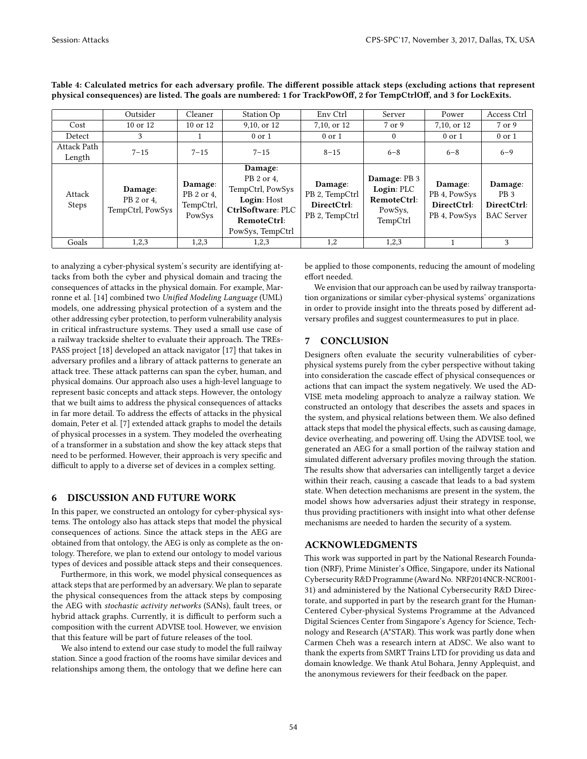<span id="page-5-2"></span>

|                          |                                                                                                                                                                                                                                                                                                                                                                                                                                                                                                                                                                                                                                                                                                                                                                                                                                                                                                                                                                                                                                                                                                                                  |                                              | Table 4: Calculated metrics for each adversary profile. The different possible attack steps (excluding actions that represent<br>physical consequences) are listed. The goals are numbered: 1 for TrackPowOff, 2 for TempCtrlOff, and 3 for LockExits. |                                                            |                                                                                                                                                                                                                                                                                                                                                                                                                                                                                                                                                                                                                                                                                                                                                                                                                                                                                                                                                                                                                                                        |                                                        |                                                                |
|--------------------------|----------------------------------------------------------------------------------------------------------------------------------------------------------------------------------------------------------------------------------------------------------------------------------------------------------------------------------------------------------------------------------------------------------------------------------------------------------------------------------------------------------------------------------------------------------------------------------------------------------------------------------------------------------------------------------------------------------------------------------------------------------------------------------------------------------------------------------------------------------------------------------------------------------------------------------------------------------------------------------------------------------------------------------------------------------------------------------------------------------------------------------|----------------------------------------------|--------------------------------------------------------------------------------------------------------------------------------------------------------------------------------------------------------------------------------------------------------|------------------------------------------------------------|--------------------------------------------------------------------------------------------------------------------------------------------------------------------------------------------------------------------------------------------------------------------------------------------------------------------------------------------------------------------------------------------------------------------------------------------------------------------------------------------------------------------------------------------------------------------------------------------------------------------------------------------------------------------------------------------------------------------------------------------------------------------------------------------------------------------------------------------------------------------------------------------------------------------------------------------------------------------------------------------------------------------------------------------------------|--------------------------------------------------------|----------------------------------------------------------------|
|                          | Outsider                                                                                                                                                                                                                                                                                                                                                                                                                                                                                                                                                                                                                                                                                                                                                                                                                                                                                                                                                                                                                                                                                                                         | Cleaner                                      | Station Op                                                                                                                                                                                                                                             | Env Ctrl                                                   | Server                                                                                                                                                                                                                                                                                                                                                                                                                                                                                                                                                                                                                                                                                                                                                                                                                                                                                                                                                                                                                                                 | Power                                                  | Access Ctrl                                                    |
| $\overline{\text{Cost}}$ | 10 or 12                                                                                                                                                                                                                                                                                                                                                                                                                                                                                                                                                                                                                                                                                                                                                                                                                                                                                                                                                                                                                                                                                                                         | 10 or 12                                     | 9,10, or 12                                                                                                                                                                                                                                            | 7,10, or 12                                                | 7 or 9                                                                                                                                                                                                                                                                                                                                                                                                                                                                                                                                                                                                                                                                                                                                                                                                                                                                                                                                                                                                                                                 | 7,10, or 12                                            | 7 or 9                                                         |
| Detect                   | 3                                                                                                                                                                                                                                                                                                                                                                                                                                                                                                                                                                                                                                                                                                                                                                                                                                                                                                                                                                                                                                                                                                                                | $\mathbf{1}$                                 | $0$ or $1$                                                                                                                                                                                                                                             | 0 or 1                                                     | $\boldsymbol{0}$                                                                                                                                                                                                                                                                                                                                                                                                                                                                                                                                                                                                                                                                                                                                                                                                                                                                                                                                                                                                                                       | $0$ or $1$                                             | 0 or 1                                                         |
| Attack Path<br>Length    | $7 - 15$                                                                                                                                                                                                                                                                                                                                                                                                                                                                                                                                                                                                                                                                                                                                                                                                                                                                                                                                                                                                                                                                                                                         | $7 - 15$                                     | $7 - 15$                                                                                                                                                                                                                                               | $8 - 15$                                                   | $6 - 8$                                                                                                                                                                                                                                                                                                                                                                                                                                                                                                                                                                                                                                                                                                                                                                                                                                                                                                                                                                                                                                                | $6 - 8$                                                | $6 - 9$                                                        |
| Attack<br>Steps          | Damage:<br>PB 2 or 4,<br>TempCtrl, PowSys                                                                                                                                                                                                                                                                                                                                                                                                                                                                                                                                                                                                                                                                                                                                                                                                                                                                                                                                                                                                                                                                                        | Damage:<br>PB 2 or 4,<br>TempCtrl,<br>PowSys | Damage:<br>PB 2 or 4,<br>TempCtrl, PowSys<br>Login: Host<br>CtrlSoftware: PLC<br>RemoteCtrl:<br>PowSys, TempCtrl                                                                                                                                       | Damage:<br>PB 2, TempCtrl<br>DirectCtrl:<br>PB 2, TempCtrl | Damage: PB 3<br>Login: PLC<br>RemoteCtrl:<br>PowSys,<br>TempCtrl                                                                                                                                                                                                                                                                                                                                                                                                                                                                                                                                                                                                                                                                                                                                                                                                                                                                                                                                                                                       | Damage:<br>PB 4, PowSys<br>DirectCtrl:<br>PB 4, PowSys | Damage:<br>PB <sub>3</sub><br>DirectCtrl:<br><b>BAC</b> Server |
| Goals                    | 1,2,3                                                                                                                                                                                                                                                                                                                                                                                                                                                                                                                                                                                                                                                                                                                                                                                                                                                                                                                                                                                                                                                                                                                            | 1,2,3                                        | 1,2,3                                                                                                                                                                                                                                                  | 1,2                                                        | 1,2,3                                                                                                                                                                                                                                                                                                                                                                                                                                                                                                                                                                                                                                                                                                                                                                                                                                                                                                                                                                                                                                                  | $\mathbf{1}$                                           | 3                                                              |
| 6                        | other addressing cyber protection, to perform vulnerability analysis<br>in critical infrastructure systems. They used a small use case of<br>a railway trackside shelter to evaluate their approach. The TREs-<br>PASS project [18] developed an attack navigator [17] that takes in<br>adversary profiles and a library of attack patterns to generate an<br>attack tree. These attack patterns can span the cyber, human, and<br>physical domains. Our approach also uses a high-level language to<br>represent basic concepts and attack steps. However, the ontology<br>that we built aims to address the physical consequences of attacks<br>in far more detail. To address the effects of attacks in the physical<br>domain, Peter et al. [7] extended attack graphs to model the details<br>of physical processes in a system. They modeled the overheating<br>of a transformer in a substation and show the key attack steps that<br>need to be performed. However, their approach is very specific and<br>difficult to apply to a diverse set of devices in a complex setting.<br>DISCUSSION AND FUTURE WORK            |                                              |                                                                                                                                                                                                                                                        | <b>CONCLUSION</b><br>7                                     | versary profiles and suggest countermeasures to put in place.<br>Designers often evaluate the security vulnerabilities of cyber-<br>physical systems purely from the cyber perspective without taking<br>into consideration the cascade effect of physical consequences or<br>actions that can impact the system negatively. We used the AD-<br>VISE meta modeling approach to analyze a railway station. We<br>constructed an ontology that describes the assets and spaces in<br>the system, and physical relations between them. We also defined<br>attack steps that model the physical effects, such as causing damage,<br>device overheating, and powering off. Using the ADVISE tool, we<br>generated an AEG for a small portion of the railway station and<br>simulated different adversary profiles moving through the station.<br>The results show that adversaries can intelligently target a device<br>within their reach, causing a cascade that leads to a bad system<br>state. When detection mechanisms are present in the system, the |                                                        |                                                                |
|                          | In this paper, we constructed an ontology for cyber-physical sys-<br>tems. The ontology also has attack steps that model the physical<br>consequences of actions. Since the attack steps in the AEG are<br>obtained from that ontology, the AEG is only as complete as the on-<br>tology. Therefore, we plan to extend our ontology to model various<br>types of devices and possible attack steps and their consequences.<br>Furthermore, in this work, we model physical consequences as<br>attack steps that are performed by an adversary. We plan to separate<br>the physical consequences from the attack steps by composing<br>the AEG with stochastic activity networks (SANs), fault trees, or<br>hybrid attack graphs. Currently, it is difficult to perform such a<br>composition with the current ADVISE tool. However, we envision<br>that this feature will be part of future releases of the tool.<br>We also intend to extend our case study to model the full railway<br>station. Since a good fraction of the rooms have similar devices and<br>relationships among them, the ontology that we define here can |                                              |                                                                                                                                                                                                                                                        | <b>ACKNOWLEDGMENTS</b>                                     | model shows how adversaries adjust their strategy in response,<br>thus providing practitioners with insight into what other defense<br>mechanisms are needed to harden the security of a system.<br>This work was supported in part by the National Research Founda-<br>tion (NRF), Prime Minister's Office, Singapore, under its National<br>Cybersecurity R&D Programme (Award No. NRF2014NCR-NCR001-<br>31) and administered by the National Cybersecurity R&D Direc-<br>torate, and supported in part by the research grant for the Human-<br>Centered Cyber-physical Systems Programme at the Advanced<br>Digital Sciences Center from Singapore's Agency for Science, Tech-<br>nology and Research (A*STAR). This work was partly done when<br>Carmen Cheh was a research intern at ADSC. We also want to<br>thank the experts from SMRT Trains LTD for providing us data and<br>domain knowledge. We thank Atul Bohara, Jenny Applequist, and<br>the anonymous reviewers for their feedback on the paper.                                       |                                                        |                                                                |

#### <span id="page-5-0"></span>6 DISCUSSION AND FUTURE WORK

### <span id="page-5-1"></span>7 CONCLUSION

#### ACKNOWLEDGMENTS